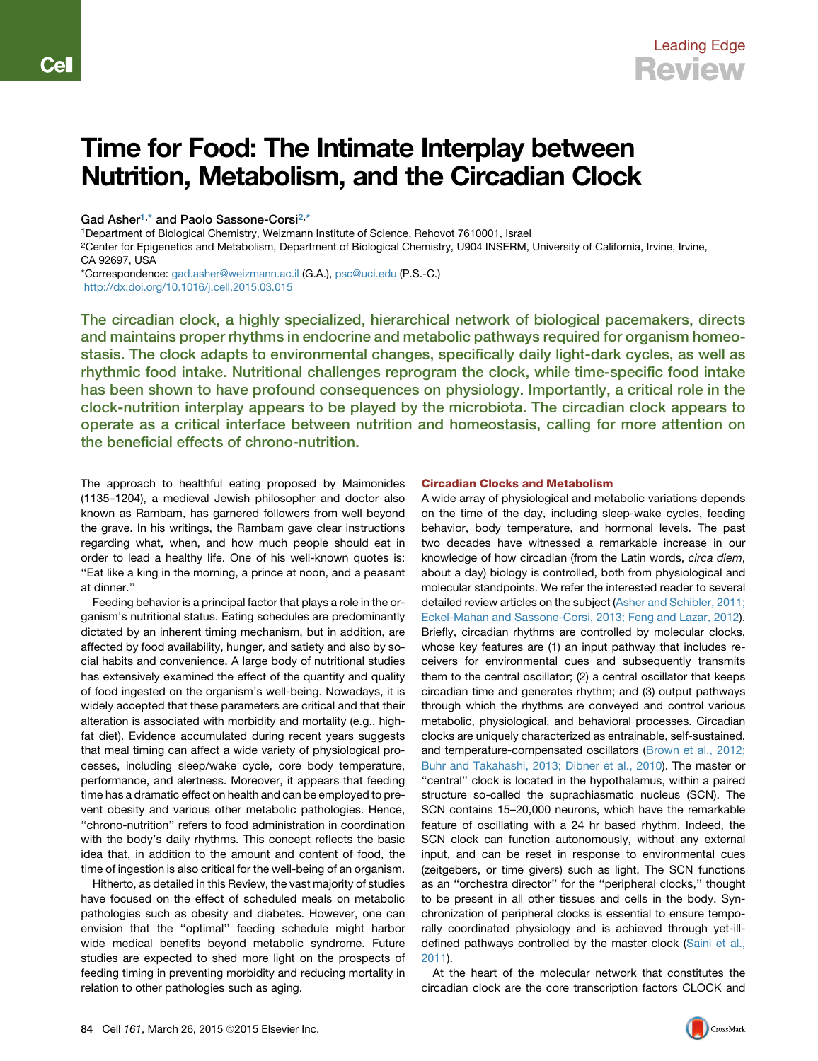# Time for Food: The Intimate Interplay between Nutrition, Metabolism, and the Circadian Clock

Gad Asher<sup>[1](#page-0-0),[\\*](#page-0-1)</sup> and Paolo Sassone-Corsi<sup>[2,](#page-0-2)\*</sup>

<span id="page-0-0"></span>1Department of Biological Chemistry, Weizmann Institute of Science, Rehovot 7610001, Israel

<span id="page-0-2"></span>2Center for Epigenetics and Metabolism, Department of Biological Chemistry, U904 INSERM, University of California, Irvine, Irvine, CA 92697, USA

<span id="page-0-1"></span>\*Correspondence: [gad.asher@weizmann.ac.il](mailto:gad.asher@weizmann.ac.il) (G.A.), [psc@uci.edu](mailto:psc@uci.edu) (P.S.-C.) <http://dx.doi.org/10.1016/j.cell.2015.03.015>

The circadian clock, a highly specialized, hierarchical network of biological pacemakers, directs and maintains proper rhythms in endocrine and metabolic pathways required for organism homeostasis. The clock adapts to environmental changes, specifically daily light-dark cycles, as well as rhythmic food intake. Nutritional challenges reprogram the clock, while time-specific food intake has been shown to have profound consequences on physiology. Importantly, a critical role in the clock-nutrition interplay appears to be played by the microbiota. The circadian clock appears to operate as a critical interface between nutrition and homeostasis, calling for more attention on the beneficial effects of chrono-nutrition.

The approach to healthful eating proposed by Maimonides (1135–1204), a medieval Jewish philosopher and doctor also known as Rambam, has garnered followers from well beyond the grave. In his writings, the Rambam gave clear instructions regarding what, when, and how much people should eat in order to lead a healthy life. One of his well-known quotes is: ''Eat like a king in the morning, a prince at noon, and a peasant at dinner.''

Feeding behavior is a principal factor that plays a role in the organism's nutritional status. Eating schedules are predominantly dictated by an inherent timing mechanism, but in addition, are affected by food availability, hunger, and satiety and also by social habits and convenience. A large body of nutritional studies has extensively examined the effect of the quantity and quality of food ingested on the organism's well-being. Nowadays, it is widely accepted that these parameters are critical and that their alteration is associated with morbidity and mortality (e.g., highfat diet). Evidence accumulated during recent years suggests that meal timing can affect a wide variety of physiological processes, including sleep/wake cycle, core body temperature, performance, and alertness. Moreover, it appears that feeding time has a dramatic effect on health and can be employed to prevent obesity and various other metabolic pathologies. Hence, ''chrono-nutrition'' refers to food administration in coordination with the body's daily rhythms. This concept reflects the basic idea that, in addition to the amount and content of food, the time of ingestion is also critical for the well-being of an organism.

Hitherto, as detailed in this Review, the vast majority of studies have focused on the effect of scheduled meals on metabolic pathologies such as obesity and diabetes. However, one can envision that the ''optimal'' feeding schedule might harbor wide medical benefits beyond metabolic syndrome. Future studies are expected to shed more light on the prospects of feeding timing in preventing morbidity and reducing mortality in relation to other pathologies such as aging.

## Circadian Clocks and Metabolism

A wide array of physiological and metabolic variations depends on the time of the day, including sleep-wake cycles, feeding behavior, body temperature, and hormonal levels. The past two decades have witnessed a remarkable increase in our knowledge of how circadian (from the Latin words, *circa diem*, about a day) biology is controlled, both from physiological and molecular standpoints. We refer the interested reader to several detailed review articles on the subject [\(Asher and Schibler, 2011;](#page-6-0) [Eckel-Mahan and Sassone-Corsi, 2013; Feng and Lazar, 2012](#page-6-0)). Briefly, circadian rhythms are controlled by molecular clocks, whose key features are (1) an input pathway that includes receivers for environmental cues and subsequently transmits them to the central oscillator; (2) a central oscillator that keeps circadian time and generates rhythm; and (3) output pathways through which the rhythms are conveyed and control various metabolic, physiological, and behavioral processes. Circadian clocks are uniquely characterized as entrainable, self-sustained, and temperature-compensated oscillators ([Brown et al., 2012;](#page-6-1) [Buhr and Takahashi, 2013; Dibner et al., 2010](#page-6-1)). The master or "central" clock is located in the hypothalamus, within a paired structure so-called the suprachiasmatic nucleus (SCN). The SCN contains 15–20,000 neurons, which have the remarkable feature of oscillating with a 24 hr based rhythm. Indeed, the SCN clock can function autonomously, without any external input, and can be reset in response to environmental cues (zeitgebers, or time givers) such as light. The SCN functions as an ''orchestra director'' for the ''peripheral clocks,'' thought to be present in all other tissues and cells in the body. Synchronization of peripheral clocks is essential to ensure temporally coordinated physiology and is achieved through yet-ill-defined pathways controlled by the master clock [\(Saini et al.,](#page-7-0) [2011\)](#page-7-0).

At the heart of the molecular network that constitutes the circadian clock are the core transcription factors CLOCK and

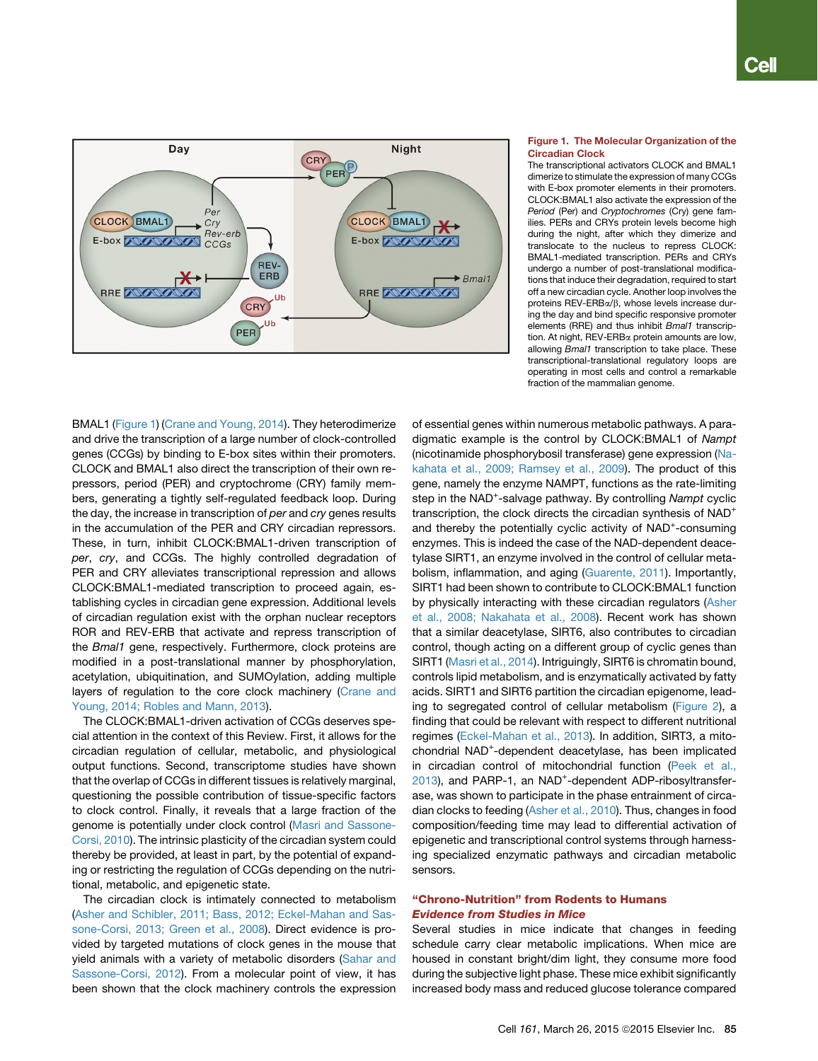<span id="page-1-0"></span>

#### Figure 1. The Molecular Organization of the Circadian Clock

The transcriptional activators CLOCK and BMAL1 dimerize to stimulate the expression of many CCGs with E-box promoter elements in their promoters. CLOCK:BMAL1 also activate the expression of the *Period* (Per) and *Cryptochromes* (Cry) gene families. PERs and CRYs protein levels become high during the night, after which they dimerize and translocate to the nucleus to repress CLOCK: BMAL1-mediated transcription. PERs and CRYs undergo a number of post-translational modifications that induce their degradation, required to start off a new circadian cycle. Another loop involves the proteins REV-ERB $\alpha$ / $\beta$ , whose levels increase during the day and bind specific responsive promoter elements (RRE) and thus inhibit *Bmal1* transcription. At night, REV-ERB<sub>a</sub> protein amounts are low, allowing *Bmal1* transcription to take place. These transcriptional-translational regulatory loops are operating in most cells and control a remarkable fraction of the mammalian genome.

BMAL1 [\(Figure 1](#page-1-0)) [\(Crane and Young, 2014](#page-6-2)). They heterodimerize and drive the transcription of a large number of clock-controlled genes (CCGs) by binding to E-box sites within their promoters. CLOCK and BMAL1 also direct the transcription of their own repressors, period (PER) and cryptochrome (CRY) family members, generating a tightly self-regulated feedback loop. During the day, the increase in transcription of *per* and *cry* genes results in the accumulation of the PER and CRY circadian repressors. These, in turn, inhibit CLOCK:BMAL1-driven transcription of *per*, *cry*, and CCGs. The highly controlled degradation of PER and CRY alleviates transcriptional repression and allows CLOCK:BMAL1-mediated transcription to proceed again, establishing cycles in circadian gene expression. Additional levels of circadian regulation exist with the orphan nuclear receptors ROR and REV-ERB that activate and repress transcription of the *Bmal1* gene, respectively. Furthermore, clock proteins are modified in a post-translational manner by phosphorylation, acetylation, ubiquitination, and SUMOylation, adding multiple layers of regulation to the core clock machinery [\(Crane and](#page-6-2) [Young, 2014; Robles and Mann, 2013](#page-6-2)).

The CLOCK:BMAL1-driven activation of CCGs deserves special attention in the context of this Review. First, it allows for the circadian regulation of cellular, metabolic, and physiological output functions. Second, transcriptome studies have shown that the overlap of CCGs in different tissues is relatively marginal, questioning the possible contribution of tissue-specific factors to clock control. Finally, it reveals that a large fraction of the genome is potentially under clock control ([Masri and Sassone-](#page-7-1)[Corsi, 2010\)](#page-7-1). The intrinsic plasticity of the circadian system could thereby be provided, at least in part, by the potential of expanding or restricting the regulation of CCGs depending on the nutritional, metabolic, and epigenetic state.

The circadian clock is intimately connected to metabolism [\(Asher and Schibler, 2011; Bass, 2012; Eckel-Mahan and Sas](#page-6-0)[sone-Corsi, 2013; Green et al., 2008](#page-6-0)). Direct evidence is provided by targeted mutations of clock genes in the mouse that yield animals with a variety of metabolic disorders ([Sahar and](#page-7-2) [Sassone-Corsi, 2012\)](#page-7-2). From a molecular point of view, it has been shown that the clock machinery controls the expression

of essential genes within numerous metabolic pathways. A paradigmatic example is the control by CLOCK:BMAL1 of *Nampt* (nicotinamide phosphorybosil transferase) gene expression [\(Na](#page-7-3)[kahata et al., 2009; Ramsey et al., 2009\)](#page-7-3). The product of this gene, namely the enzyme NAMPT, functions as the rate-limiting step in the NAD+ -salvage pathway. By controlling *Nampt* cyclic transcription, the clock directs the circadian synthesis of NAD<sup>+</sup> and thereby the potentially cyclic activity of NAD<sup>+</sup>-consuming enzymes. This is indeed the case of the NAD-dependent deacetylase SIRT1, an enzyme involved in the control of cellular metabolism, inflammation, and aging ([Guarente, 2011\)](#page-6-3). Importantly, SIRT1 had been shown to contribute to CLOCK:BMAL1 function by physically interacting with these circadian regulators [\(Asher](#page-6-4) [et al., 2008; Nakahata et al., 2008\)](#page-6-4). Recent work has shown that a similar deacetylase, SIRT6, also contributes to circadian control, though acting on a different group of cyclic genes than SIRT1 ([Masri et al., 2014\)](#page-7-4). Intriguingly, SIRT6 is chromatin bound, controls lipid metabolism, and is enzymatically activated by fatty acids. SIRT1 and SIRT6 partition the circadian epigenome, leading to segregated control of cellular metabolism [\(Figure 2](#page-2-0)), a finding that could be relevant with respect to different nutritional regimes [\(Eckel-Mahan et al., 2013\)](#page-6-5). In addition, SIRT3, a mitochondrial NAD<sup>+</sup>-dependent deacetylase, has been implicated in circadian control of mitochondrial function [\(Peek et al.,](#page-7-5) [2013\)](#page-7-5), and PARP-1, an NAD<sup>+</sup>-dependent ADP-ribosyltransferase, was shown to participate in the phase entrainment of circadian clocks to feeding ([Asher et al., 2010\)](#page-6-6). Thus, changes in food composition/feeding time may lead to differential activation of epigenetic and transcriptional control systems through harnessing specialized enzymatic pathways and circadian metabolic sensors.

# ''Chrono-Nutrition'' from Rodents to Humans Evidence from Studies in Mice

Several studies in mice indicate that changes in feeding schedule carry clear metabolic implications. When mice are housed in constant bright/dim light, they consume more food during the subjective light phase. These mice exhibit significantly increased body mass and reduced glucose tolerance compared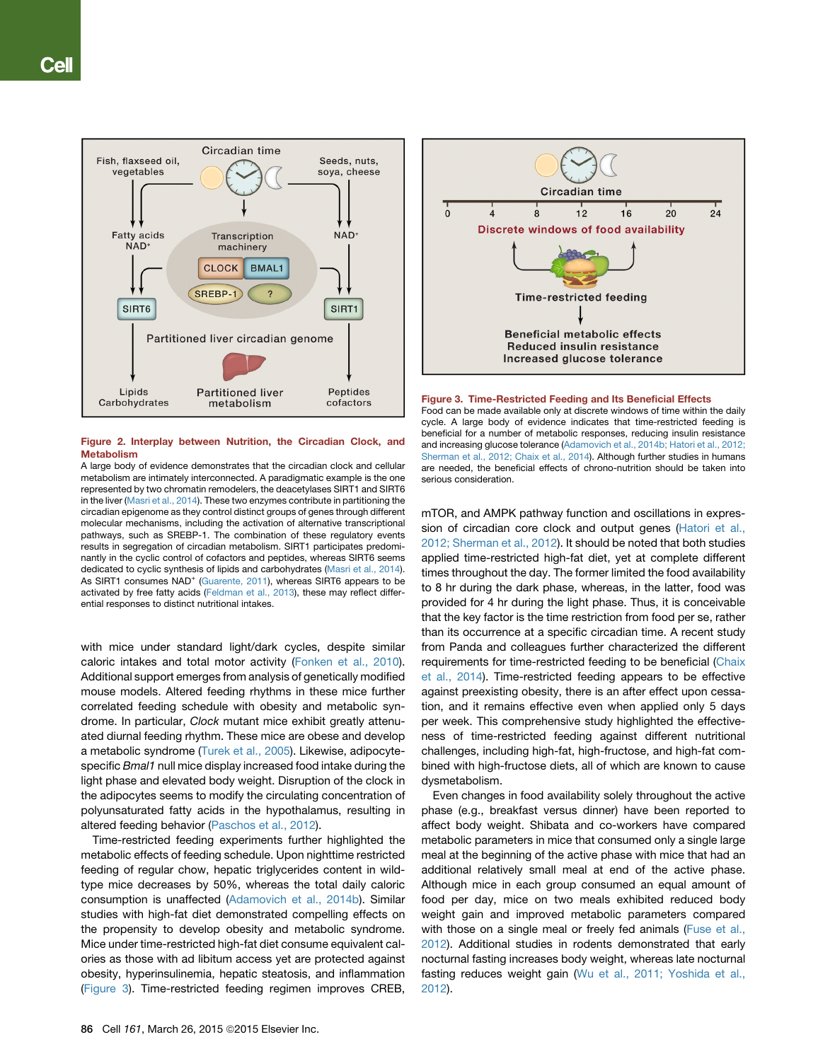<span id="page-2-0"></span>

## Figure 2. Interplay between Nutrition, the Circadian Clock, and Metabolism

A large body of evidence demonstrates that the circadian clock and cellular metabolism are intimately interconnected. A paradigmatic example is the one represented by two chromatin remodelers, the deacetylases SIRT1 and SIRT6 in the liver ([Masri et al., 2014\)](#page-7-4). These two enzymes contribute in partitioning the circadian epigenome as they control distinct groups of genes through different molecular mechanisms, including the activation of alternative transcriptional pathways, such as SREBP-1. The combination of these regulatory events results in segregation of circadian metabolism. SIRT1 participates predominantly in the cyclic control of cofactors and peptides, whereas SIRT6 seems dedicated to cyclic synthesis of lipids and carbohydrates [\(Masri et al., 2014](#page-7-4)). As SIRT1 consumes NAD<sup>+</sup> ([Guarente, 2011](#page-6-3)), whereas SIRT6 appears to be activated by free fatty acids [\(Feldman et al., 2013](#page-6-11)), these may reflect differential responses to distinct nutritional intakes.

with mice under standard light/dark cycles, despite similar caloric intakes and total motor activity [\(Fonken et al., 2010](#page-6-7)). Additional support emerges from analysis of genetically modified mouse models. Altered feeding rhythms in these mice further correlated feeding schedule with obesity and metabolic syndrome. In particular, *Clock* mutant mice exhibit greatly attenuated diurnal feeding rhythm. These mice are obese and develop a metabolic syndrome [\(Turek et al., 2005\)](#page-7-6). Likewise, adipocytespecific *Bmal1* null mice display increased food intake during the light phase and elevated body weight. Disruption of the clock in the adipocytes seems to modify the circulating concentration of polyunsaturated fatty acids in the hypothalamus, resulting in altered feeding behavior ([Paschos et al., 2012\)](#page-7-7).

Time-restricted feeding experiments further highlighted the metabolic effects of feeding schedule. Upon nighttime restricted feeding of regular chow, hepatic triglycerides content in wildtype mice decreases by 50%, whereas the total daily caloric consumption is unaffected ([Adamovich et al., 2014b\)](#page-6-8). Similar studies with high-fat diet demonstrated compelling effects on the propensity to develop obesity and metabolic syndrome. Mice under time-restricted high-fat diet consume equivalent calories as those with ad libitum access yet are protected against obesity, hyperinsulinemia, hepatic steatosis, and inflammation ([Figure 3\)](#page-2-1). Time-restricted feeding regimen improves CREB,

<span id="page-2-1"></span>

Figure 3. Time-Restricted Feeding and Its Beneficial Effects



mTOR, and AMPK pathway function and oscillations in expression of circadian core clock and output genes ([Hatori et al.,](#page-7-8) [2012; Sherman et al., 2012\)](#page-7-8). It should be noted that both studies applied time-restricted high-fat diet, yet at complete different times throughout the day. The former limited the food availability to 8 hr during the dark phase, whereas, in the latter, food was provided for 4 hr during the light phase. Thus, it is conceivable that the key factor is the time restriction from food per se, rather than its occurrence at a specific circadian time. A recent study from Panda and colleagues further characterized the different requirements for time-restricted feeding to be beneficial [\(Chaix](#page-6-9) [et al., 2014\)](#page-6-9). Time-restricted feeding appears to be effective against preexisting obesity, there is an after effect upon cessation, and it remains effective even when applied only 5 days per week. This comprehensive study highlighted the effectiveness of time-restricted feeding against different nutritional challenges, including high-fat, high-fructose, and high-fat combined with high-fructose diets, all of which are known to cause dysmetabolism.

Even changes in food availability solely throughout the active phase (e.g., breakfast versus dinner) have been reported to affect body weight. Shibata and co-workers have compared metabolic parameters in mice that consumed only a single large meal at the beginning of the active phase with mice that had an additional relatively small meal at end of the active phase. Although mice in each group consumed an equal amount of food per day, mice on two meals exhibited reduced body weight gain and improved metabolic parameters compared with those on a single meal or freely fed animals [\(Fuse et al.,](#page-6-10) [2012\)](#page-6-10). Additional studies in rodents demonstrated that early nocturnal fasting increases body weight, whereas late nocturnal fasting reduces weight gain [\(Wu et al., 2011; Yoshida et al.,](#page-8-0) [2012\)](#page-8-0).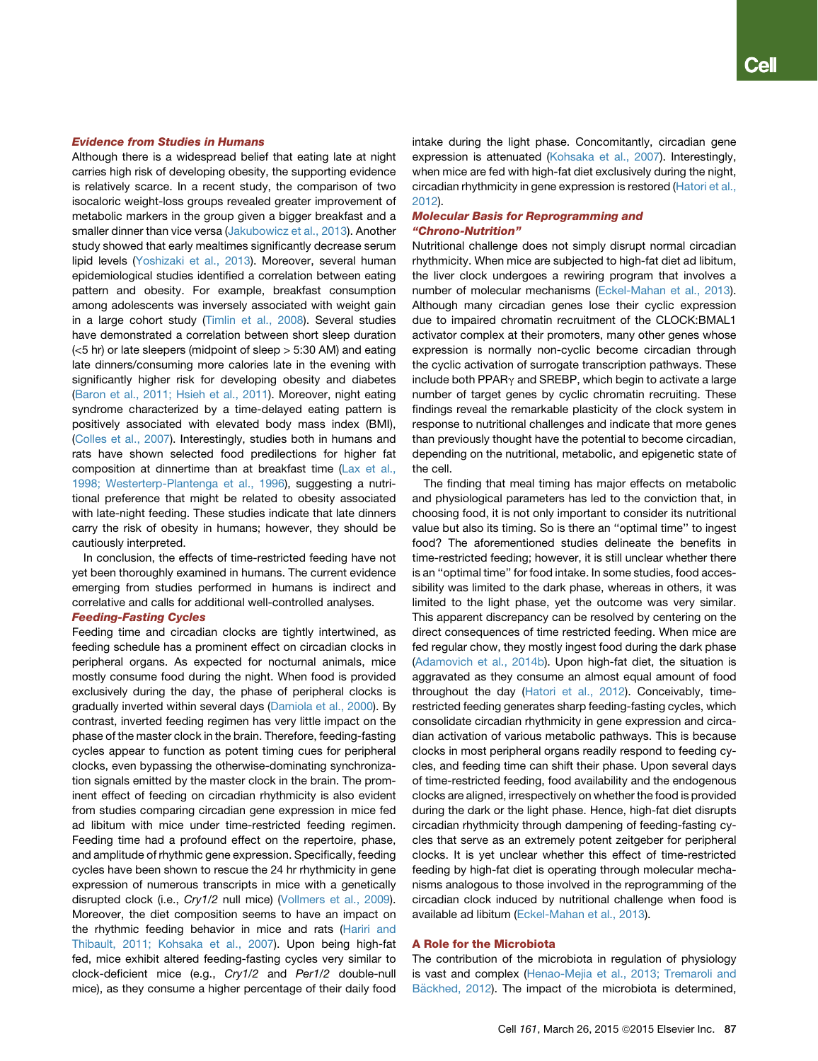# Evidence from Studies in Humans

Although there is a widespread belief that eating late at night carries high risk of developing obesity, the supporting evidence is relatively scarce. In a recent study, the comparison of two isocaloric weight-loss groups revealed greater improvement of metabolic markers in the group given a bigger breakfast and a smaller dinner than vice versa [\(Jakubowicz et al., 2013\)](#page-7-9). Another study showed that early mealtimes significantly decrease serum lipid levels ([Yoshizaki et al., 2013\)](#page-8-1). Moreover, several human epidemiological studies identified a correlation between eating pattern and obesity. For example, breakfast consumption among adolescents was inversely associated with weight gain in a large cohort study ([Timlin et al., 2008\)](#page-7-10). Several studies have demonstrated a correlation between short sleep duration  $(<5$  hr) or late sleepers (midpoint of sleep  $> 5:30$  AM) and eating late dinners/consuming more calories late in the evening with significantly higher risk for developing obesity and diabetes [\(Baron et al., 2011; Hsieh et al., 2011\)](#page-6-12). Moreover, night eating syndrome characterized by a time-delayed eating pattern is positively associated with elevated body mass index (BMI), [\(Colles et al., 2007](#page-6-13)). Interestingly, studies both in humans and rats have shown selected food predilections for higher fat composition at dinnertime than at breakfast time [\(Lax et al.,](#page-7-11) [1998; Westerterp-Plantenga et al., 1996\)](#page-7-11), suggesting a nutritional preference that might be related to obesity associated with late-night feeding. These studies indicate that late dinners carry the risk of obesity in humans; however, they should be cautiously interpreted.

In conclusion, the effects of time-restricted feeding have not yet been thoroughly examined in humans. The current evidence emerging from studies performed in humans is indirect and correlative and calls for additional well-controlled analyses.

# Feeding-Fasting Cycles

Feeding time and circadian clocks are tightly intertwined, as feeding schedule has a prominent effect on circadian clocks in peripheral organs. As expected for nocturnal animals, mice mostly consume food during the night. When food is provided exclusively during the day, the phase of peripheral clocks is gradually inverted within several days ([Damiola et al., 2000](#page-6-14)). By contrast, inverted feeding regimen has very little impact on the phase of the master clock in the brain. Therefore, feeding-fasting cycles appear to function as potent timing cues for peripheral clocks, even bypassing the otherwise-dominating synchronization signals emitted by the master clock in the brain. The prominent effect of feeding on circadian rhythmicity is also evident from studies comparing circadian gene expression in mice fed ad libitum with mice under time-restricted feeding regimen. Feeding time had a profound effect on the repertoire, phase, and amplitude of rhythmic gene expression. Specifically, feeding cycles have been shown to rescue the 24 hr rhythmicity in gene expression of numerous transcripts in mice with a genetically disrupted clock (i.e., *Cry1/2* null mice) [\(Vollmers et al., 2009\)](#page-8-2). Moreover, the diet composition seems to have an impact on the rhythmic feeding behavior in mice and rats [\(Hariri and](#page-7-12) [Thibault, 2011; Kohsaka et al., 2007\)](#page-7-12). Upon being high-fat fed, mice exhibit altered feeding-fasting cycles very similar to clock-deficient mice (e.g., *Cry1/2* and *Per1/2* double-null mice), as they consume a higher percentage of their daily food intake during the light phase. Concomitantly, circadian gene expression is attenuated [\(Kohsaka et al., 2007\)](#page-7-13). Interestingly, when mice are fed with high-fat diet exclusively during the night, circadian rhythmicity in gene expression is restored ([Hatori et al.,](#page-7-8)

# Molecular Basis for Reprogramming and ''Chrono-Nutrition''

[2012\)](#page-7-8).

Nutritional challenge does not simply disrupt normal circadian rhythmicity. When mice are subjected to high-fat diet ad libitum, the liver clock undergoes a rewiring program that involves a number of molecular mechanisms [\(Eckel-Mahan et al., 2013\)](#page-6-5). Although many circadian genes lose their cyclic expression due to impaired chromatin recruitment of the CLOCK:BMAL1 activator complex at their promoters, many other genes whose expression is normally non-cyclic become circadian through the cyclic activation of surrogate transcription pathways. These include both PPAR $\gamma$  and SREBP, which begin to activate a large number of target genes by cyclic chromatin recruiting. These findings reveal the remarkable plasticity of the clock system in response to nutritional challenges and indicate that more genes than previously thought have the potential to become circadian, depending on the nutritional, metabolic, and epigenetic state of the cell.

The finding that meal timing has major effects on metabolic and physiological parameters has led to the conviction that, in choosing food, it is not only important to consider its nutritional value but also its timing. So is there an ''optimal time'' to ingest food? The aforementioned studies delineate the benefits in time-restricted feeding; however, it is still unclear whether there is an ''optimal time'' for food intake. In some studies, food accessibility was limited to the dark phase, whereas in others, it was limited to the light phase, yet the outcome was very similar. This apparent discrepancy can be resolved by centering on the direct consequences of time restricted feeding. When mice are fed regular chow, they mostly ingest food during the dark phase [\(Adamovich et al., 2014b\)](#page-6-8). Upon high-fat diet, the situation is aggravated as they consume an almost equal amount of food throughout the day [\(Hatori et al., 2012\)](#page-7-8). Conceivably, timerestricted feeding generates sharp feeding-fasting cycles, which consolidate circadian rhythmicity in gene expression and circadian activation of various metabolic pathways. This is because clocks in most peripheral organs readily respond to feeding cycles, and feeding time can shift their phase. Upon several days of time-restricted feeding, food availability and the endogenous clocks are aligned, irrespectively on whether the food is provided during the dark or the light phase. Hence, high-fat diet disrupts circadian rhythmicity through dampening of feeding-fasting cycles that serve as an extremely potent zeitgeber for peripheral clocks. It is yet unclear whether this effect of time-restricted feeding by high-fat diet is operating through molecular mechanisms analogous to those involved in the reprogramming of the circadian clock induced by nutritional challenge when food is available ad libitum [\(Eckel-Mahan et al., 2013\)](#page-6-5).

# A Role for the Microbiota

The contribution of the microbiota in regulation of physiology is vast and complex ([Henao-Mejia et al., 2013; Tremaroli and](#page-7-14) Bä[ckhed, 2012](#page-7-14)). The impact of the microbiota is determined,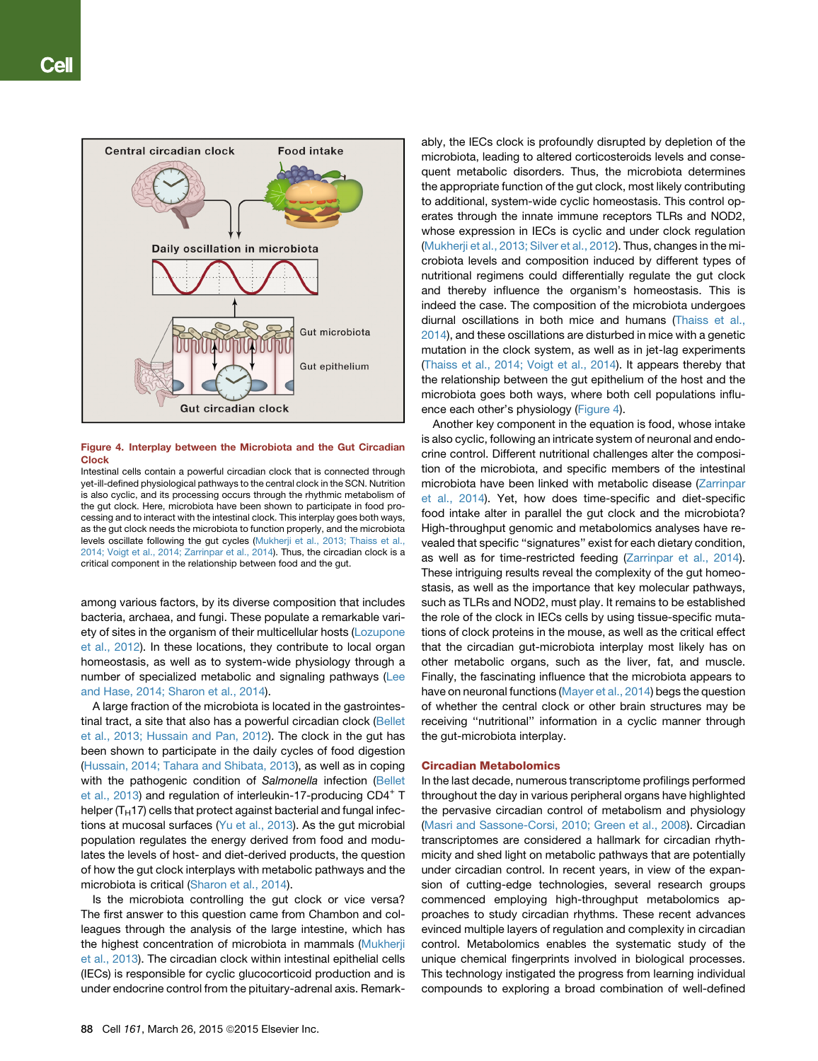<span id="page-4-0"></span>

Figure 4. Interplay between the Microbiota and the Gut Circadian Clock

Intestinal cells contain a powerful circadian clock that is connected through yet-ill-defined physiological pathways to the central clock in the SCN. Nutrition is also cyclic, and its processing occurs through the rhythmic metabolism of the gut clock. Here, microbiota have been shown to participate in food processing and to interact with the intestinal clock. This interplay goes both ways, as the gut clock needs the microbiota to function properly, and the microbiota levels oscillate following the gut cycles [\(Mukherji et al., 2013; Thaiss et al.,](#page-7-19) [2014; Voigt et al., 2014; Zarrinpar et al., 2014](#page-7-19)). Thus, the circadian clock is a critical component in the relationship between food and the gut.

among various factors, by its diverse composition that includes bacteria, archaea, and fungi. These populate a remarkable vari-ety of sites in the organism of their multicellular hosts [\(Lozupone](#page-7-15) [et al., 2012](#page-7-15)). In these locations, they contribute to local organ homeostasis, as well as to system-wide physiology through a number of specialized metabolic and signaling pathways ([Lee](#page-7-16) [and Hase, 2014; Sharon et al., 2014](#page-7-16)).

A large fraction of the microbiota is located in the gastrointes-tinal tract, a site that also has a powerful circadian clock ([Bellet](#page-6-15) [et al., 2013; Hussain and Pan, 2012\)](#page-6-15). The clock in the gut has been shown to participate in the daily cycles of food digestion ([Hussain, 2014; Tahara and Shibata, 2013\)](#page-7-17), as well as in coping with the pathogenic condition of *Salmonella* infection ([Bellet](#page-6-15) [et al., 2013\)](#page-6-15) and regulation of interleukin-17-producing CD4<sup>+</sup> T helper ( $T_H$ 17) cells that protect against bacterial and fungal infections at mucosal surfaces [\(Yu et al., 2013](#page-8-3)). As the gut microbial population regulates the energy derived from food and modulates the levels of host- and diet-derived products, the question of how the gut clock interplays with metabolic pathways and the microbiota is critical [\(Sharon et al., 2014\)](#page-7-18).

Is the microbiota controlling the gut clock or vice versa? The first answer to this question came from Chambon and colleagues through the analysis of the large intestine, which has the highest concentration of microbiota in mammals ([Mukherji](#page-7-19) [et al., 2013\)](#page-7-19). The circadian clock within intestinal epithelial cells (IECs) is responsible for cyclic glucocorticoid production and is under endocrine control from the pituitary-adrenal axis. Remark-

ably, the IECs clock is profoundly disrupted by depletion of the microbiota, leading to altered corticosteroids levels and consequent metabolic disorders. Thus, the microbiota determines the appropriate function of the gut clock, most likely contributing to additional, system-wide cyclic homeostasis. This control operates through the innate immune receptors TLRs and NOD2, whose expression in IECs is cyclic and under clock regulation [\(Mukherji et al., 2013; Silver et al., 2012\)](#page-7-19). Thus, changes in the microbiota levels and composition induced by different types of nutritional regimens could differentially regulate the gut clock and thereby influence the organism's homeostasis. This is indeed the case. The composition of the microbiota undergoes diurnal oscillations in both mice and humans [\(Thaiss et al.,](#page-7-20) [2014\)](#page-7-20), and these oscillations are disturbed in mice with a genetic mutation in the clock system, as well as in jet-lag experiments [\(Thaiss et al., 2014; Voigt et al., 2014\)](#page-7-20). It appears thereby that the relationship between the gut epithelium of the host and the microbiota goes both ways, where both cell populations influence each other's physiology [\(Figure 4\)](#page-4-0).

Another key component in the equation is food, whose intake is also cyclic, following an intricate system of neuronal and endocrine control. Different nutritional challenges alter the composition of the microbiota, and specific members of the intestinal microbiota have been linked with metabolic disease ([Zarrinpar](#page-8-4) [et al., 2014](#page-8-4)). Yet, how does time-specific and diet-specific food intake alter in parallel the gut clock and the microbiota? High-throughput genomic and metabolomics analyses have revealed that specific ''signatures'' exist for each dietary condition, as well as for time-restricted feeding [\(Zarrinpar et al., 2014](#page-8-4)). These intriguing results reveal the complexity of the gut homeostasis, as well as the importance that key molecular pathways, such as TLRs and NOD2, must play. It remains to be established the role of the clock in IECs cells by using tissue-specific mutations of clock proteins in the mouse, as well as the critical effect that the circadian gut-microbiota interplay most likely has on other metabolic organs, such as the liver, fat, and muscle. Finally, the fascinating influence that the microbiota appears to have on neuronal functions [\(Mayer et al., 2014\)](#page-7-21) begs the question of whether the central clock or other brain structures may be receiving ''nutritional'' information in a cyclic manner through the gut-microbiota interplay.

# Circadian Metabolomics

In the last decade, numerous transcriptome profilings performed throughout the day in various peripheral organs have highlighted the pervasive circadian control of metabolism and physiology [\(Masri and Sassone-Corsi, 2010; Green et al., 2008\)](#page-7-1). Circadian transcriptomes are considered a hallmark for circadian rhythmicity and shed light on metabolic pathways that are potentially under circadian control. In recent years, in view of the expansion of cutting-edge technologies, several research groups commenced employing high-throughput metabolomics approaches to study circadian rhythms. These recent advances evinced multiple layers of regulation and complexity in circadian control. Metabolomics enables the systematic study of the unique chemical fingerprints involved in biological processes. This technology instigated the progress from learning individual compounds to exploring a broad combination of well-defined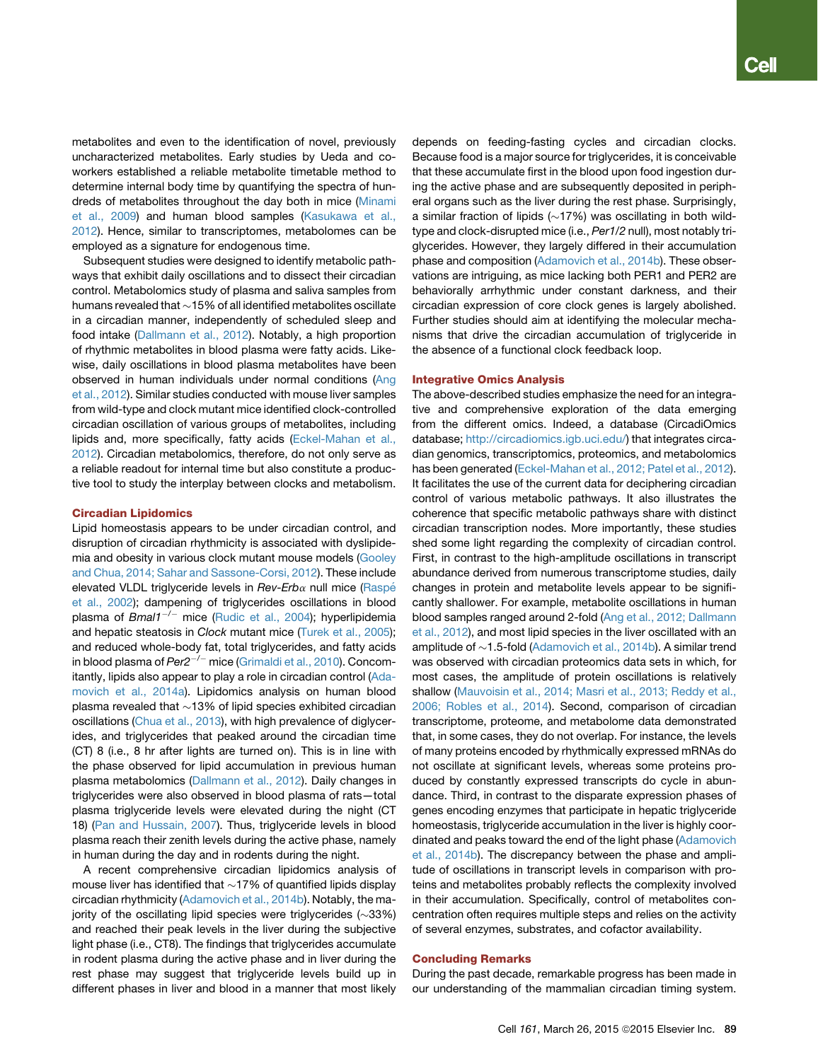metabolites and even to the identification of novel, previously uncharacterized metabolites. Early studies by Ueda and coworkers established a reliable metabolite timetable method to determine internal body time by quantifying the spectra of hundreds of metabolites throughout the day both in mice ([Minami](#page-7-22) [et al., 2009\)](#page-7-22) and human blood samples [\(Kasukawa et al.,](#page-7-23) [2012\)](#page-7-23). Hence, similar to transcriptomes, metabolomes can be employed as a signature for endogenous time.

Subsequent studies were designed to identify metabolic pathways that exhibit daily oscillations and to dissect their circadian control. Metabolomics study of plasma and saliva samples from humans revealed that  $\sim$  15% of all identified metabolites oscillate in a circadian manner, independently of scheduled sleep and food intake [\(Dallmann et al., 2012](#page-6-16)). Notably, a high proportion of rhythmic metabolites in blood plasma were fatty acids. Likewise, daily oscillations in blood plasma metabolites have been observed in human individuals under normal conditions [\(Ang](#page-6-17) [et al., 2012\)](#page-6-17). Similar studies conducted with mouse liver samples from wild-type and clock mutant mice identified clock-controlled circadian oscillation of various groups of metabolites, including lipids and, more specifically, fatty acids [\(Eckel-Mahan et al.,](#page-6-18) [2012\)](#page-6-18). Circadian metabolomics, therefore, do not only serve as a reliable readout for internal time but also constitute a productive tool to study the interplay between clocks and metabolism.

#### Circadian Lipidomics

Lipid homeostasis appears to be under circadian control, and disruption of circadian rhythmicity is associated with dyslipidemia and obesity in various clock mutant mouse models [\(Gooley](#page-6-19) [and Chua, 2014; Sahar and Sassone-Corsi, 2012](#page-6-19)). These include elevated VLDL triglyceride levels in *Rev-Erb*a null mice ([Raspe´](#page-7-24) [et al., 2002](#page-7-24)); dampening of triglycerides oscillations in blood plasma of *Bmal1<sup>-/-</sup>* mice ([Rudic et al., 2004\)](#page-7-25); hyperlipidemia and hepatic steatosis in *Clock* mutant mice ([Turek et al., 2005\)](#page-7-6); and reduced whole-body fat, total triglycerides, and fatty acids in blood plasma of *Per2<sup>-/-</sup>* mice [\(Grimaldi et al., 2010](#page-6-20)). Concomitantly, lipids also appear to play a role in circadian control ([Ada](#page-6-21)[movich et al., 2014a](#page-6-21)). Lipidomics analysis on human blood plasma revealed that  $\sim$ 13% of lipid species exhibited circadian oscillations ([Chua et al., 2013](#page-6-22)), with high prevalence of diglycerides, and triglycerides that peaked around the circadian time (CT) 8 (i.e., 8 hr after lights are turned on). This is in line with the phase observed for lipid accumulation in previous human plasma metabolomics ([Dallmann et al., 2012](#page-6-16)). Daily changes in triglycerides were also observed in blood plasma of rats—total plasma triglyceride levels were elevated during the night (CT 18) [\(Pan and Hussain, 2007\)](#page-7-26). Thus, triglyceride levels in blood plasma reach their zenith levels during the active phase, namely in human during the day and in rodents during the night.

A recent comprehensive circadian lipidomics analysis of mouse liver has identified that  $\sim$ 17% of quantified lipids display circadian rhythmicity ([Adamovich et al., 2014b](#page-6-8)). Notably, the majority of the oscillating lipid species were triglycerides  $(\sim 33\%)$ and reached their peak levels in the liver during the subjective light phase (i.e., CT8). The findings that triglycerides accumulate in rodent plasma during the active phase and in liver during the rest phase may suggest that triglyceride levels build up in different phases in liver and blood in a manner that most likely depends on feeding-fasting cycles and circadian clocks. Because food is a major source for triglycerides, it is conceivable that these accumulate first in the blood upon food ingestion during the active phase and are subsequently deposited in peripheral organs such as the liver during the rest phase. Surprisingly, a similar fraction of lipids  $(\sim 17\%)$  was oscillating in both wildtype and clock-disrupted mice (i.e., *Per1/2* null), most notably triglycerides. However, they largely differed in their accumulation phase and composition [\(Adamovich et al., 2014b\)](#page-6-8). These observations are intriguing, as mice lacking both PER1 and PER2 are behaviorally arrhythmic under constant darkness, and their circadian expression of core clock genes is largely abolished. Further studies should aim at identifying the molecular mechanisms that drive the circadian accumulation of triglyceride in the absence of a functional clock feedback loop.

#### Integrative Omics Analysis

The above-described studies emphasize the need for an integrative and comprehensive exploration of the data emerging from the different omics. Indeed, a database (CircadiOmics database; [http://circadiomics.igb.uci.edu/\)](http://circadiomics.igb.uci.edu/) that integrates circadian genomics, transcriptomics, proteomics, and metabolomics has been generated ([Eckel-Mahan et al., 2012; Patel et al., 2012\)](#page-6-18). It facilitates the use of the current data for deciphering circadian control of various metabolic pathways. It also illustrates the coherence that specific metabolic pathways share with distinct circadian transcription nodes. More importantly, these studies shed some light regarding the complexity of circadian control. First, in contrast to the high-amplitude oscillations in transcript abundance derived from numerous transcriptome studies, daily changes in protein and metabolite levels appear to be significantly shallower. For example, metabolite oscillations in human blood samples ranged around 2-fold [\(Ang et al., 2012; Dallmann](#page-6-17) [et al., 2012](#page-6-17)), and most lipid species in the liver oscillated with an amplitude of  $\sim$ 1.5-fold ([Adamovich et al., 2014b](#page-6-8)). A similar trend was observed with circadian proteomics data sets in which, for most cases, the amplitude of protein oscillations is relatively shallow [\(Mauvoisin et al., 2014; Masri et al., 2013; Reddy et al.,](#page-7-27) [2006; Robles et al., 2014\)](#page-7-27). Second, comparison of circadian transcriptome, proteome, and metabolome data demonstrated that, in some cases, they do not overlap. For instance, the levels of many proteins encoded by rhythmically expressed mRNAs do not oscillate at significant levels, whereas some proteins produced by constantly expressed transcripts do cycle in abundance. Third, in contrast to the disparate expression phases of genes encoding enzymes that participate in hepatic triglyceride homeostasis, triglyceride accumulation in the liver is highly coordinated and peaks toward the end of the light phase ([Adamovich](#page-6-8) [et al., 2014b](#page-6-8)). The discrepancy between the phase and amplitude of oscillations in transcript levels in comparison with proteins and metabolites probably reflects the complexity involved in their accumulation. Specifically, control of metabolites concentration often requires multiple steps and relies on the activity of several enzymes, substrates, and cofactor availability.

## Concluding Remarks

During the past decade, remarkable progress has been made in our understanding of the mammalian circadian timing system.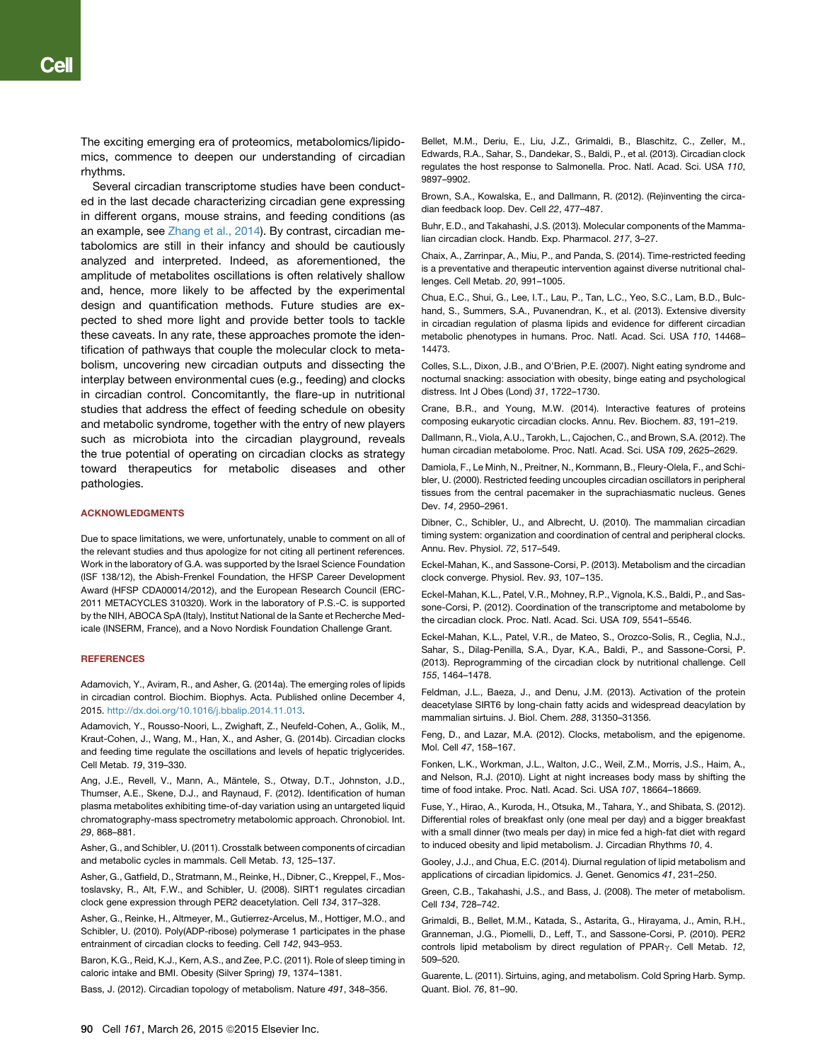The exciting emerging era of proteomics, metabolomics/lipidomics, commence to deepen our understanding of circadian rhythms.

Several circadian transcriptome studies have been conducted in the last decade characterizing circadian gene expressing in different organs, mouse strains, and feeding conditions (as an example, see [Zhang et al., 2014\)](#page-8-5). By contrast, circadian metabolomics are still in their infancy and should be cautiously analyzed and interpreted. Indeed, as aforementioned, the amplitude of metabolites oscillations is often relatively shallow and, hence, more likely to be affected by the experimental design and quantification methods. Future studies are expected to shed more light and provide better tools to tackle these caveats. In any rate, these approaches promote the identification of pathways that couple the molecular clock to metabolism, uncovering new circadian outputs and dissecting the interplay between environmental cues (e.g., feeding) and clocks in circadian control. Concomitantly, the flare-up in nutritional studies that address the effect of feeding schedule on obesity and metabolic syndrome, together with the entry of new players such as microbiota into the circadian playground, reveals the true potential of operating on circadian clocks as strategy toward therapeutics for metabolic diseases and other pathologies.

## ACKNOWLEDGMENTS

Due to space limitations, we were, unfortunately, unable to comment on all of the relevant studies and thus apologize for not citing all pertinent references. Work in the laboratory of G.A. was supported by the Israel Science Foundation (ISF 138/12), the Abish-Frenkel Foundation, the HFSP Career Development Award (HFSP CDA00014/2012), and the European Research Council (ERC-2011 METACYCLES 310320). Work in the laboratory of P.S.-C. is supported by the NIH, ABOCA SpA (Italy), Institut National de la Sante et Recherche Medicale (INSERM, France), and a Novo Nordisk Foundation Challenge Grant.

## **REFERENCES**

<span id="page-6-21"></span>Adamovich, Y., Aviram, R., and Asher, G. (2014a). The emerging roles of lipids in circadian control. Biochim. Biophys. Acta. Published online December 4, 2015. [http://dx.doi.org/10.1016/j.bbalip.2014.11.013.](http://dx.doi.org/10.1016/j.bbalip.2014.11.013)

<span id="page-6-8"></span>Adamovich, Y., Rousso-Noori, L., Zwighaft, Z., Neufeld-Cohen, A., Golik, M., Kraut-Cohen, J., Wang, M., Han, X., and Asher, G. (2014b). Circadian clocks and feeding time regulate the oscillations and levels of hepatic triglycerides. Cell Metab. *19*, 319–330.

<span id="page-6-17"></span>Ang, J.E., Revell, V., Mann, A., Mäntele, S., Otway, D.T., Johnston, J.D., Thumser, A.E., Skene, D.J., and Raynaud, F. (2012). Identification of human plasma metabolites exhibiting time-of-day variation using an untargeted liquid chromatography-mass spectrometry metabolomic approach. Chronobiol. Int. *29*, 868–881.

<span id="page-6-0"></span>Asher, G., and Schibler, U. (2011). Crosstalk between components of circadian and metabolic cycles in mammals. Cell Metab. *13*, 125–137.

<span id="page-6-4"></span>Asher, G., Gatfield, D., Stratmann, M., Reinke, H., Dibner, C., Kreppel, F., Mostoslavsky, R., Alt, F.W., and Schibler, U. (2008). SIRT1 regulates circadian clock gene expression through PER2 deacetylation. Cell *134*, 317–328.

<span id="page-6-6"></span>Asher, G., Reinke, H., Altmeyer, M., Gutierrez-Arcelus, M., Hottiger, M.O., and Schibler, U. (2010). Poly(ADP-ribose) polymerase 1 participates in the phase entrainment of circadian clocks to feeding. Cell *142*, 943–953.

<span id="page-6-12"></span>Baron, K.G., Reid, K.J., Kern, A.S., and Zee, P.C. (2011). Role of sleep timing in caloric intake and BMI. Obesity (Silver Spring) *19*, 1374–1381.

Bass, J. (2012). Circadian topology of metabolism. Nature *491*, 348–356.

<span id="page-6-15"></span>Bellet, M.M., Deriu, E., Liu, J.Z., Grimaldi, B., Blaschitz, C., Zeller, M., Edwards, R.A., Sahar, S., Dandekar, S., Baldi, P., et al. (2013). Circadian clock regulates the host response to Salmonella. Proc. Natl. Acad. Sci. USA *110*, 9897–9902.

<span id="page-6-1"></span>Brown, S.A., Kowalska, E., and Dallmann, R. (2012). (Re)inventing the circadian feedback loop. Dev. Cell *22*, 477–487.

Buhr, E.D., and Takahashi, J.S. (2013). Molecular components of the Mammalian circadian clock. Handb. Exp. Pharmacol. *217*, 3–27.

<span id="page-6-9"></span>Chaix, A., Zarrinpar, A., Miu, P., and Panda, S. (2014). Time-restricted feeding is a preventative and therapeutic intervention against diverse nutritional challenges. Cell Metab. *20*, 991–1005.

<span id="page-6-22"></span>Chua, E.C., Shui, G., Lee, I.T., Lau, P., Tan, L.C., Yeo, S.C., Lam, B.D., Bulchand, S., Summers, S.A., Puvanendran, K., et al. (2013). Extensive diversity in circadian regulation of plasma lipids and evidence for different circadian metabolic phenotypes in humans. Proc. Natl. Acad. Sci. USA *110*, 14468– 14473.

<span id="page-6-13"></span>Colles, S.L., Dixon, J.B., and O'Brien, P.E. (2007). Night eating syndrome and nocturnal snacking: association with obesity, binge eating and psychological distress. Int J Obes (Lond) *31*, 1722–1730.

<span id="page-6-2"></span>Crane, B.R., and Young, M.W. (2014). Interactive features of proteins composing eukaryotic circadian clocks. Annu. Rev. Biochem. *83*, 191–219.

<span id="page-6-16"></span>Dallmann, R., Viola, A.U., Tarokh, L., Cajochen, C., and Brown, S.A. (2012). The human circadian metabolome. Proc. Natl. Acad. Sci. USA *109*, 2625–2629.

<span id="page-6-14"></span>Damiola, F., Le Minh, N., Preitner, N., Kornmann, B., Fleury-Olela, F., and Schibler, U. (2000). Restricted feeding uncouples circadian oscillators in peripheral tissues from the central pacemaker in the suprachiasmatic nucleus. Genes Dev. *14*, 2950–2961.

Dibner, C., Schibler, U., and Albrecht, U. (2010). The mammalian circadian timing system: organization and coordination of central and peripheral clocks. Annu. Rev. Physiol. *72*, 517–549.

<span id="page-6-18"></span>Eckel-Mahan, K., and Sassone-Corsi, P. (2013). Metabolism and the circadian clock converge. Physiol. Rev. *93*, 107–135.

Eckel-Mahan, K.L., Patel, V.R., Mohney, R.P., Vignola, K.S., Baldi, P., and Sassone-Corsi, P. (2012). Coordination of the transcriptome and metabolome by the circadian clock. Proc. Natl. Acad. Sci. USA *109*, 5541–5546.

<span id="page-6-5"></span>Eckel-Mahan, K.L., Patel, V.R., de Mateo, S., Orozco-Solis, R., Ceglia, N.J., Sahar, S., Dilag-Penilla, S.A., Dyar, K.A., Baldi, P., and Sassone-Corsi, P. (2013). Reprogramming of the circadian clock by nutritional challenge. Cell *155*, 1464–1478.

<span id="page-6-11"></span>Feldman, J.L., Baeza, J., and Denu, J.M. (2013). Activation of the protein deacetylase SIRT6 by long-chain fatty acids and widespread deacylation by mammalian sirtuins. J. Biol. Chem. *288*, 31350–31356.

<span id="page-6-7"></span>Feng, D., and Lazar, M.A. (2012). Clocks, metabolism, and the epigenome. Mol. Cell *47*, 158–167.

<span id="page-6-10"></span>Fonken, L.K., Workman, J.L., Walton, J.C., Weil, Z.M., Morris, J.S., Haim, A., and Nelson, R.J. (2010). Light at night increases body mass by shifting the time of food intake. Proc. Natl. Acad. Sci. USA *107*, 18664–18669.

Fuse, Y., Hirao, A., Kuroda, H., Otsuka, M., Tahara, Y., and Shibata, S. (2012). Differential roles of breakfast only (one meal per day) and a bigger breakfast with a small dinner (two meals per day) in mice fed a high-fat diet with regard to induced obesity and lipid metabolism. J. Circadian Rhythms *10*, 4.

<span id="page-6-19"></span>Gooley, J.J., and Chua, E.C. (2014). Diurnal regulation of lipid metabolism and applications of circadian lipidomics. J. Genet. Genomics *41*, 231–250.

<span id="page-6-20"></span>Green, C.B., Takahashi, J.S., and Bass, J. (2008). The meter of metabolism. Cell *134*, 728–742.

<span id="page-6-3"></span>Grimaldi, B., Bellet, M.M., Katada, S., Astarita, G., Hirayama, J., Amin, R.H., Granneman, J.G., Piomelli, D., Leff, T., and Sassone-Corsi, P. (2010). PER2 controls lipid metabolism by direct regulation of PPARg. Cell Metab. *<sup>12</sup>*, 509–520.

Guarente, L. (2011). Sirtuins, aging, and metabolism. Cold Spring Harb. Symp. Quant. Biol. *76*, 81–90.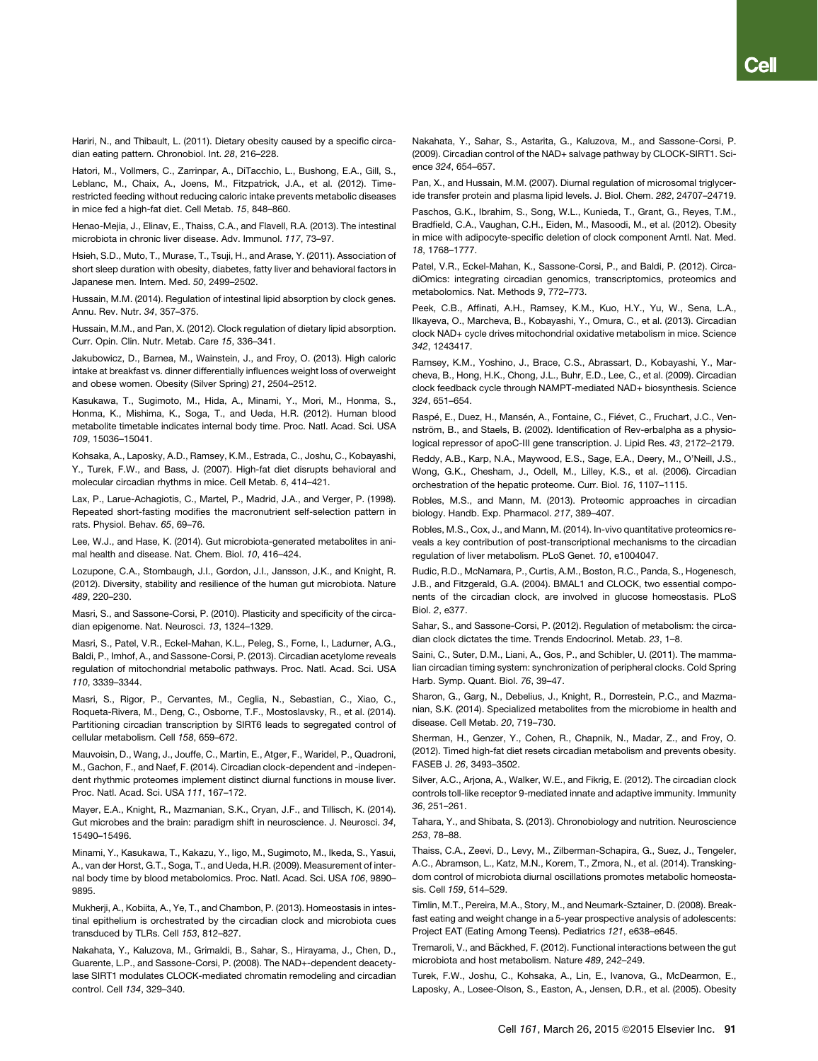<span id="page-7-12"></span>Hariri, N., and Thibault, L. (2011). Dietary obesity caused by a specific circadian eating pattern. Chronobiol. Int. *28*, 216–228.

<span id="page-7-8"></span>Hatori, M., Vollmers, C., Zarrinpar, A., DiTacchio, L., Bushong, E.A., Gill, S., Leblanc, M., Chaix, A., Joens, M., Fitzpatrick, J.A., et al. (2012). Timerestricted feeding without reducing caloric intake prevents metabolic diseases in mice fed a high-fat diet. Cell Metab. *15*, 848–860.

<span id="page-7-14"></span>Henao-Mejia, J., Elinav, E., Thaiss, C.A., and Flavell, R.A. (2013). The intestinal microbiota in chronic liver disease. Adv. Immunol. *117*, 73–97.

Hsieh, S.D., Muto, T., Murase, T., Tsuji, H., and Arase, Y. (2011). Association of short sleep duration with obesity, diabetes, fatty liver and behavioral factors in Japanese men. Intern. Med. *50*, 2499–2502.

<span id="page-7-17"></span>Hussain, M.M. (2014). Regulation of intestinal lipid absorption by clock genes. Annu. Rev. Nutr. *34*, 357–375.

Hussain, M.M., and Pan, X. (2012). Clock regulation of dietary lipid absorption. Curr. Opin. Clin. Nutr. Metab. Care *15*, 336–341.

<span id="page-7-9"></span>Jakubowicz, D., Barnea, M., Wainstein, J., and Froy, O. (2013). High caloric intake at breakfast vs. dinner differentially influences weight loss of overweight and obese women. Obesity (Silver Spring) *21*, 2504–2512.

<span id="page-7-23"></span>Kasukawa, T., Sugimoto, M., Hida, A., Minami, Y., Mori, M., Honma, S., Honma, K., Mishima, K., Soga, T., and Ueda, H.R. (2012). Human blood metabolite timetable indicates internal body time. Proc. Natl. Acad. Sci. USA *109*, 15036–15041.

<span id="page-7-13"></span>Kohsaka, A., Laposky, A.D., Ramsey, K.M., Estrada, C., Joshu, C., Kobayashi, Y., Turek, F.W., and Bass, J. (2007). High-fat diet disrupts behavioral and molecular circadian rhythms in mice. Cell Metab. *6*, 414–421.

<span id="page-7-11"></span>Lax, P., Larue-Achagiotis, C., Martel, P., Madrid, J.A., and Verger, P. (1998). Repeated short-fasting modifies the macronutrient self-selection pattern in rats. Physiol. Behav. *65*, 69–76.

<span id="page-7-16"></span><span id="page-7-15"></span>Lee, W.J., and Hase, K. (2014). Gut microbiota-generated metabolites in animal health and disease. Nat. Chem. Biol. *10*, 416–424.

Lozupone, C.A., Stombaugh, J.I., Gordon, J.I., Jansson, J.K., and Knight, R. (2012). Diversity, stability and resilience of the human gut microbiota. Nature *489*, 220–230.

<span id="page-7-1"></span>Masri, S., and Sassone-Corsi, P. (2010). Plasticity and specificity of the circadian epigenome. Nat. Neurosci. *13*, 1324–1329.

Masri, S., Patel, V.R., Eckel-Mahan, K.L., Peleg, S., Forne, I., Ladurner, A.G., Baldi, P., Imhof, A., and Sassone-Corsi, P. (2013). Circadian acetylome reveals regulation of mitochondrial metabolic pathways. Proc. Natl. Acad. Sci. USA *110*, 3339–3344.

<span id="page-7-4"></span>Masri, S., Rigor, P., Cervantes, M., Ceglia, N., Sebastian, C., Xiao, C., Roqueta-Rivera, M., Deng, C., Osborne, T.F., Mostoslavsky, R., et al. (2014). Partitioning circadian transcription by SIRT6 leads to segregated control of cellular metabolism. Cell *158*, 659–672.

<span id="page-7-27"></span>Mauvoisin, D., Wang, J., Jouffe, C., Martin, E., Atger, F., Waridel, P., Quadroni, M., Gachon, F., and Naef, F. (2014). Circadian clock-dependent and -independent rhythmic proteomes implement distinct diurnal functions in mouse liver. Proc. Natl. Acad. Sci. USA *111*, 167–172.

<span id="page-7-22"></span><span id="page-7-21"></span>Mayer, E.A., Knight, R., Mazmanian, S.K., Cryan, J.F., and Tillisch, K. (2014). Gut microbes and the brain: paradigm shift in neuroscience. J. Neurosci. *34*, 15490–15496.

<span id="page-7-19"></span>Minami, Y., Kasukawa, T., Kakazu, Y., Iigo, M., Sugimoto, M., Ikeda, S., Yasui, A., van der Horst, G.T., Soga, T., and Ueda, H.R. (2009). Measurement of internal body time by blood metabolomics. Proc. Natl. Acad. Sci. USA *106*, 9890– 9895.

Mukherji, A., Kobiita, A., Ye, T., and Chambon, P. (2013). Homeostasis in intestinal epithelium is orchestrated by the circadian clock and microbiota cues transduced by TLRs. Cell *153*, 812–827.

Nakahata, Y., Kaluzova, M., Grimaldi, B., Sahar, S., Hirayama, J., Chen, D., Guarente, L.P., and Sassone-Corsi, P. (2008). The NAD+-dependent deacetylase SIRT1 modulates CLOCK-mediated chromatin remodeling and circadian control. Cell *134*, 329–340.

<span id="page-7-3"></span>Nakahata, Y., Sahar, S., Astarita, G., Kaluzova, M., and Sassone-Corsi, P. (2009). Circadian control of the NAD+ salvage pathway by CLOCK-SIRT1. Science *324*, 654–657.

<span id="page-7-26"></span>Pan, X., and Hussain, M.M. (2007). Diurnal regulation of microsomal triglyceride transfer protein and plasma lipid levels. J. Biol. Chem. *282*, 24707–24719.

<span id="page-7-7"></span>Paschos, G.K., Ibrahim, S., Song, W.L., Kunieda, T., Grant, G., Reyes, T.M., Bradfield, C.A., Vaughan, C.H., Eiden, M., Masoodi, M., et al. (2012). Obesity in mice with adipocyte-specific deletion of clock component Arntl. Nat. Med. *18*, 1768–1777.

Patel, V.R., Eckel-Mahan, K., Sassone-Corsi, P., and Baldi, P. (2012). CircadiOmics: integrating circadian genomics, transcriptomics, proteomics and metabolomics. Nat. Methods *9*, 772–773.

<span id="page-7-5"></span>Peek, C.B., Affinati, A.H., Ramsey, K.M., Kuo, H.Y., Yu, W., Sena, L.A., Ilkayeva, O., Marcheva, B., Kobayashi, Y., Omura, C., et al. (2013). Circadian clock NAD+ cycle drives mitochondrial oxidative metabolism in mice. Science *342*, 1243417.

Ramsey, K.M., Yoshino, J., Brace, C.S., Abrassart, D., Kobayashi, Y., Marcheva, B., Hong, H.K., Chong, J.L., Buhr, E.D., Lee, C., et al. (2009). Circadian clock feedback cycle through NAMPT-mediated NAD+ biosynthesis. Science *324*, 651–654.

<span id="page-7-24"></span>Raspé, E., Duez, H., Mansén, A., Fontaine, C., Fiévet, C., Fruchart, J.C., Vennström, B., and Staels, B. (2002). Identification of Rev-erbalpha as a physiological repressor of apoC-III gene transcription. J. Lipid Res. *43*, 2172–2179.

Reddy, A.B., Karp, N.A., Maywood, E.S., Sage, E.A., Deery, M., O'Neill, J.S., Wong, G.K., Chesham, J., Odell, M., Lilley, K.S., et al. (2006). Circadian orchestration of the hepatic proteome. Curr. Biol. *16*, 1107–1115.

Robles, M.S., and Mann, M. (2013). Proteomic approaches in circadian biology. Handb. Exp. Pharmacol. *217*, 389–407.

Robles, M.S., Cox, J., and Mann, M. (2014). In-vivo quantitative proteomics reveals a key contribution of post-transcriptional mechanisms to the circadian regulation of liver metabolism. PLoS Genet. *10*, e1004047.

<span id="page-7-25"></span>Rudic, R.D., McNamara, P., Curtis, A.M., Boston, R.C., Panda, S., Hogenesch, J.B., and Fitzgerald, G.A. (2004). BMAL1 and CLOCK, two essential components of the circadian clock, are involved in glucose homeostasis. PLoS Biol. *2*, e377.

<span id="page-7-2"></span>Sahar, S., and Sassone-Corsi, P. (2012). Regulation of metabolism: the circadian clock dictates the time. Trends Endocrinol. Metab. *23*, 1–8.

<span id="page-7-0"></span>Saini, C., Suter, D.M., Liani, A., Gos, P., and Schibler, U. (2011). The mammalian circadian timing system: synchronization of peripheral clocks. Cold Spring Harb. Symp. Quant. Biol. *76*, 39–47.

<span id="page-7-18"></span>Sharon, G., Garg, N., Debelius, J., Knight, R., Dorrestein, P.C., and Mazmanian, S.K. (2014). Specialized metabolites from the microbiome in health and disease. Cell Metab. *20*, 719–730.

Sherman, H., Genzer, Y., Cohen, R., Chapnik, N., Madar, Z., and Froy, O. (2012). Timed high-fat diet resets circadian metabolism and prevents obesity. FASEB J. *26*, 3493–3502.

Silver, A.C., Arjona, A., Walker, W.E., and Fikrig, E. (2012). The circadian clock controls toll-like receptor 9-mediated innate and adaptive immunity. Immunity *36*, 251–261.

Tahara, Y., and Shibata, S. (2013). Chronobiology and nutrition. Neuroscience *253*, 78–88.

<span id="page-7-20"></span>Thaiss, C.A., Zeevi, D., Levy, M., Zilberman-Schapira, G., Suez, J., Tengeler, A.C., Abramson, L., Katz, M.N., Korem, T., Zmora, N., et al. (2014). Transkingdom control of microbiota diurnal oscillations promotes metabolic homeostasis. Cell *159*, 514–529.

<span id="page-7-10"></span>Timlin, M.T., Pereira, M.A., Story, M., and Neumark-Sztainer, D. (2008). Breakfast eating and weight change in a 5-year prospective analysis of adolescents: Project EAT (Eating Among Teens). Pediatrics *121*, e638–e645.

Tremaroli, V., and Bäckhed, F. (2012). Functional interactions between the gut microbiota and host metabolism. Nature *489*, 242–249.

<span id="page-7-6"></span>Turek, F.W., Joshu, C., Kohsaka, A., Lin, E., Ivanova, G., McDearmon, E., Laposky, A., Losee-Olson, S., Easton, A., Jensen, D.R., et al. (2005). Obesity